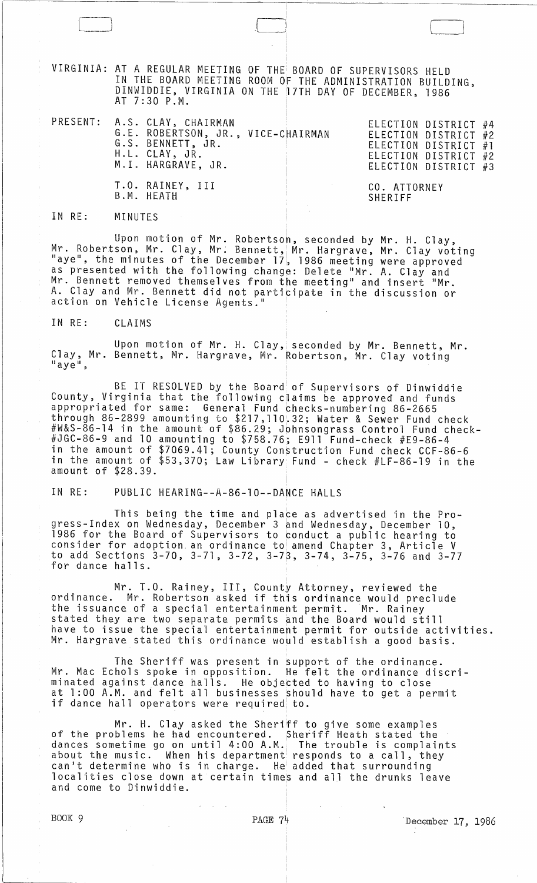VIRGINIA: AT A REGULAR MEETING OF THEi BOARD OF SUPERVISORS HELD IN THE BOARD MEETING ROOM Of THE ADMINISTRATION BUILDING, DINWIDDIE, VIRGINIA ON THE 17TH DAY OF DECEMBER, 1986 AT 7:30 P.M.

 $\Box$ 

|  | PRESENT: A.S. CLAY, CHAIRMAN<br>G.E. ROBERTSON, JR., VICE-CHAIRMAN<br>G.S. BENNETT, JR.<br>H.L. CLAY, JR.<br>M.I. HARGRAVE, JR. |                         | ELECTION DISTRICT #2<br>ELECTION DISTRICT #3 | ELECTION DISTRICT #4<br>ELECTION DISTRICT #1<br>ELECTION DISTRICT #2 |  |
|--|---------------------------------------------------------------------------------------------------------------------------------|-------------------------|----------------------------------------------|----------------------------------------------------------------------|--|
|  | T.O. RAINEY, III<br>B.M. HEATH                                                                                                  | CO. ATTORNEY<br>SHERIFF |                                              |                                                                      |  |

IN RE: MINUTES

Upon motion of Mr. Robertson, seconded by Mr. H. Clay, Mr. Robertson, Mr. Clay, Mr. Bennett, Mr. Hargrave, Mr. Clay voting "aye", the minutes of the December 17, 1986 meeting were approved as presented with the following change: Delete "Mr. A. Clay and Mr. Bennett removed themselves from the meeting" and insert "Mr. A. Clay and Mr. Bennett did not participate in the discussion or action on Vehicle License Agents."

IN RE: CLAIMS

Upon motion of Mr. H. Clay, seconded by Mr. Bennett, Mr. Clay, Mr. Bennett, Mr. Hargrave, Mr. Robertson, Mr. Clay voting<br>"aye",

BE IT RESOLVED by the Board of Supervisors of Dinwiddie County, Virginia that the following claims be approved and funds appropriated for same: General Fund checks-numbering 86-2665 through 86-2899 amounting to \$217, 110.32; Water & Sewer Fund check #W&S-86-14 in the amount of \$86.29; Jphnsongrass Control Fund check- #JGC-86-9 and 10 amounting to \$758.76; E911 Fund-check #E9-86-4 in the amount of \$7069.41; County Construction Fund check CCF-86-6 in the amount of \$53,370; Law Library Fund - check #LF-86-19 in the amount of \$28.39.

IN RE: PUBLIC HEARING--A-86-10--DANCE HALLS

This being the time and place as advertised in the Progress-Index on Wednesday, December 3 and Wednesday, December 10, 1986 for the Board of Supervisors to conduct a public hearing to consider for adoption an ordinance to amend Chapter 3, Article V to add Sections 3-70, 3-71, 3-72, 3-73, 3-74, 3-75, 3-76 and 3-77 for dance halls.

Mr. T.O. Rainey, III, County Attorney, reviewed the ordinance. Mr. Robertson asked if this ordinance would preclude the issuance of a special entertainment permit. Mr. Rainey stated they are two separate permits and the Board would still have to issue the special entertainmert permit for outside activities. Mr. Hargrave stated this ordinance would establish a good basis.

The Sheriff was present in support of the ordinance. Mr. Mac Echols spoke in opposition. He felt the ordinance discriminated against dance halls. He objetted to having to close at 1:00 A.M. and felt all businesses should have to get a permit if dance hall operators were required to.

Mr. H. Clay asked the Sheri<sup>F</sup>f to give some examples<br>of the problems he had encountered. <sub>Sheriff</sub> Heath stated the dances sometime go on until 4:00 A.M., The trouble is complaints about the music. When his department responds to a call, they can't determine who is in charge. He added that surrounding localities close down at certain times and all the drunks leave and come to Dinwiddie.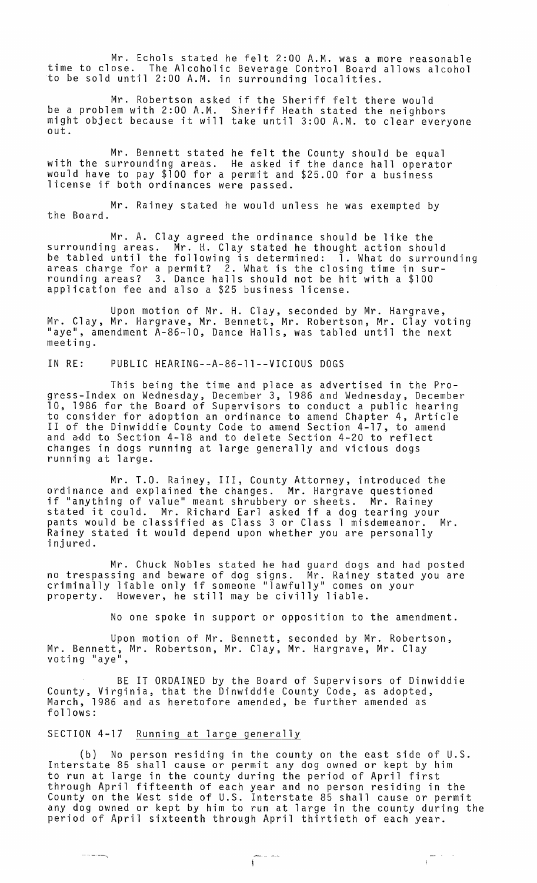Mr. Echols stated he felt 2:00 A.M. was a more reasonable time to close. The Alcoholic Beverage Control Board allows alcohol to be sold until 2:00 A.M. in surrounding localities.

Mr. Robertson asked if the Sheriff felt there would be a problem with 2:00 A.M. Sheriff Heath stated the neighbors might object because it will take until 3:00 A.M. to clear everyone out.

Mr. Bennett stated he felt the County should be equal with the surrounding areas. He asked if the dance hall operator would have to pay \$100 for a permit and \$25.00 for a business license if both ordinances were passed.

Mr. Rainey stated he would unless he was exempted by the Board.

Mr. A. Clay agreed the ordinance should be like the surrounding areas. Mr. H. Clay stated he thought action should be tabled until the following is determined: 1. What do surrounding areas charge for a permit? 2. What is the closing time in surrounding areas? 3. Dance halls should not be hit with a \$100 application fee and also a \$25 business license.

Upon motion of Mr. H. Clay, seconded by Mr. Hargrave, Mr. Clay, Mr. Hargrave, Mr. Bennett, Mr. Robertson, Mr. Clay voting "aye", amendment A-86-10, Dance Halls, was tabled until the next meeting.

IN RE: PUBLIC HEARING--A-86-l1--VICIOUS DOGS

This being the time and place as advertised in the Progress-Index on Wednesday, December 3, 1986 and Wednesday, December 10, 1986 for the Board of Supervisors to conduct a public hearing to consider for adoption an ordinance to amend Chapter 4, Article II of the Dinwiddie County Code to amend Section 4-17, to amend and add to Section 4-18 and to delete Section 4-20 to reflect changes in dogs running at large generally and vicious dogs running at large.

Mr. T.O. Rainey, III, County Attorney, introduced the ordinance and explained the changes. Mr. Hargrave questioned if "anything of value" meant shrubbery or sheets. Mr. Rainey stated it could. Mr. Richard Earl asked if a dog tearing your pants would be classified as Class 3 or Class 1 misdemeanor. Mr. Rainey stated it would depend upon whether you are personally<br>injured.

Mr. Chuck Nobles stated he had guard dogs and had posted no trespassing and beware of dog signs. Mr. Rainey stated you are criminally liable only if someone "lawfully" comes on your property. However, he still may be civilly liable.

No one spoke in support or opposition to the amendment.

Upon motion of Mr. Bennett, seconded by Mr. Robertson, Mr. Bennett, Mr. Robertson, Mr. Clay, Mr. Hargrave, Mr. Clay<br>voting "aye",

BE IT ORDAINED by the Board of Supervisors of Dinwiddie County, Virginia, that the Dinwiddie County Code, as adopted, March, 1986 and as heretofore amended, be further amended as follows:

## SECTION 4-17 Running at large generally

 $\label{eq:reduced} \begin{split} \mathcal{L}_{\text{max}} & = \mathcal{L}_{\text{max}} + \mathcal{L}_{\text{max}} \mathcal{L}_{\text{max}} \end{split}$ 

(b) No person residing in the county on the east side of U.S. Interstate 85 shall cause or permit any dog owned or kept by him to run at large in the county during the period of April first through April fifteenth of each year and no person residing in the County on the West side of U.S. Interstate 85 shall cause or permit any dog owned or kept by him to run at large in the county during the period of April sixteenth through April thirtieth of each year.

 $\begin{array}{ccc} \frac{1}{2} & \frac{1}{2} & \frac{1}{2} & \frac{1}{2} \\ \frac{1}{2} & \frac{1}{2} & \frac{1}{2} & \frac{1}{2} \\ \frac{1}{2} & \frac{1}{2} & \frac{1}{2} & \frac{1}{2} \\ \frac{1}{2} & \frac{1}{2} & \frac{1}{2} & \frac{1}{2} \\ \frac{1}{2} & \frac{1}{2} & \frac{1}{2} & \frac{1}{2} \\ \frac{1}{2} & \frac{1}{2} & \frac{1}{2} & \frac{1}{2} \\ \frac{1}{2} & \frac{1}{2} & \frac{1}{$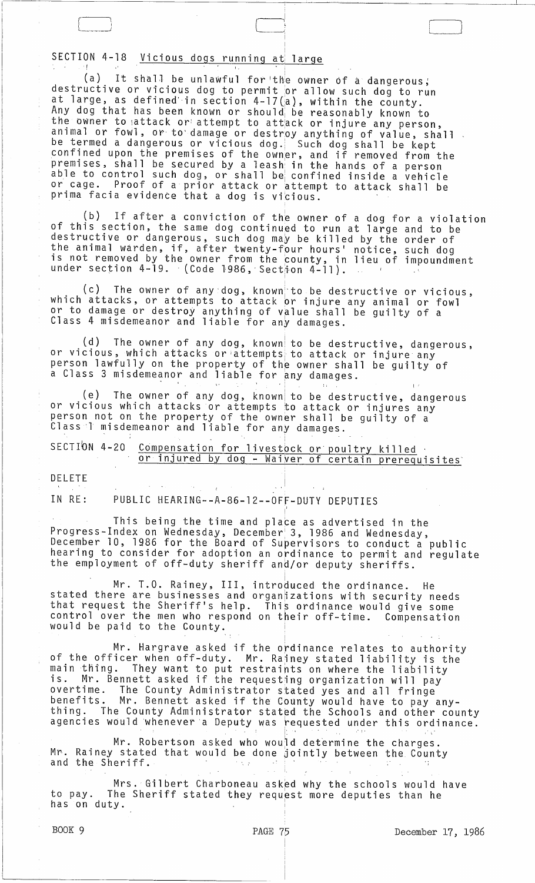SECTION 4-18 Vicious dogs running at large

(a) It shall be unlawful for the owner of a dangerous; destructive or vicious dog to permit or allow such dog to run accordocive of victods dog to permit of allow such dog to r<br>at large, as defined in section 4-17(a), within the county. Any dog that has been known or shouldi be reasonably known to the owner to attack or attempt to attack or injure any person,<br>the owner to attack or attempt to attack or injure any person,<br>animal or fowl, or to damage or destroy anything of value, shall be termed a dangerous or vicious dog. Such dog shall be kept confined upon the premises of the owner, and if removed from the premises, shall be secured by a leash' in the hands of a person able to control such dog, or shall be confined inside a vehicle or cage. Proof of a prior attack or attempt to attack shall be prima facia evidence that a dog is vicious.

 $\boxed{\phantom{a}}$ 

I į.  $\begin{bmatrix} \phantom{-} \end{bmatrix}$ 

 $\int$ 

,

(b) If after a conviction of the owner of a dog for a violation of this section, the same dog continued to run at large and to be destructive or dangerous, such dog may be killed by the order of the animal warden, if, after twenty-four hours' notice, such dog<br>is not removed by the owner from the county, in lieu of impoundment<br>under section 4-19. (Code 1986, Section 4-11).

(c) The owner of any'dog, known'to be destructive or vicious, which attacks, or attempts to attack or injure any animal or fowl or to damage or destroy anything of value shall be guilty of a Class 4 misdemeanor and liable for any damages.

 $(d)$  The owner of any dog, known to be destructive, dangerous, or vicious, which attacks or ;atternpts, to attack or injure any person lawfully on the property of the owner shall be guilty of a Class 3 misdemeanor and liable for any damages. attacks or attempts to attacks or attempts to attempts to attempts at the property of the owner

(e) The owner of any dog, knowni to be destructive, dangerous or vicious which attacks or attempts to attack or injures any person not on the property of the owner shall be guilty of a Class 1 misdemeanor and liable for any damages.

| SECTION 4-20 Compensation for livestock or poultry killed |
|-----------------------------------------------------------|
| or injured by dog - Waiver of certain prerequisites       |

DELETE

IN RE: PUBLIC HEARING--A-86-12--0FF-DUTY DEPUTIES

This being the time and place as advertised in the Progress-Index on Wednesday, December 3, 1986 and Wednesday, December 10, 1986 for the Board of Supervisors to conduct a public hearing to consider for adoption an ordinance to permit and regulate the employment of off-duty sheriff and/or deputy sheriffs.

Mr. T.O. Rainey, III, introduced the ordinance. He stated there are businesses and organizations with security needs that request the Sheriff's help. This ordinance would give some control over the men who respond on their off-time. Compensation would be paid to the County.

Mr. Hargrave asked if the ordinance relates to authority<br>of the officer when off-duty. Mr. Rainey stated liability is the main thing. They want to put restraints on where the liability is. Mr. Bennett asked if the requesting organization will pay overtime. The County Administrator stated yes and all fringe benefits. Mr. Bennett asked if the County would have to pay anything. The County Administrator stat¢d the Schools and other county agencies would whenever a Deputy was requested under this ordinance.

Mr. Robertson asked who would determine the charges. Mr. Rainey stated that would be done jointly between the County and the Sheriff.

Mrs. Gilbert Charboneau asked why the schools would have to pay. The Sheriff stated they request more deputies than he has on duty.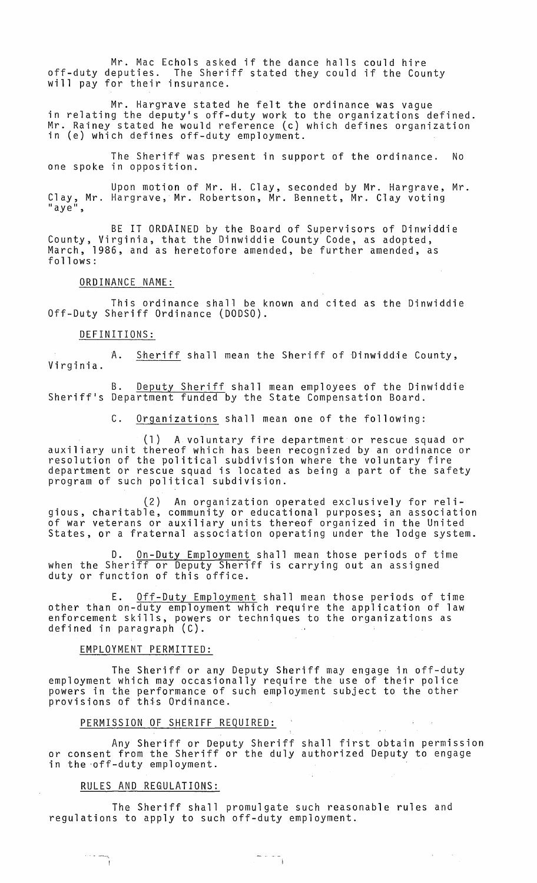Mr. Mac Echols asked if the dance halls could hire off-duty deputies. The Sheriff stated they could if the County will pay for their insurance.

Mr. Hargrave stated he felt the ordinance was vague<br>in relating the deputy's off-duty work to the organizations defined. Mr. Rainey stated he would reference (c) which defines organization in (e) which defines off-duty employment.

The Sheriff was present in support of the ordinance. No one spoke in opposition.

Upon motion of Mr. H. Clay, seconded by Mr. Hargrave, Mr. Clay, Mr. Hargrave, Mr. Robertson, Mr. Bennett, Mr. Clay voting<br>"aye",

BE IT ORDAINED by the Board of Supervisors of Dinwiddie County, Virginia, that the Dinwiddie County Code, as adopted, March, 1986, and as heretofore amended, be further amended, as follows:

#### ORDINANCE NAME:

This ordinance shall be known and cited as the Dinwiddie Off-Duty Sheriff Ordinance (DODSO).

#### DEFINITIONS:

A. Sheriff shall mean the Sheriff of Dinwiddie County,<br>Virginia.

B. Deputy Sheriff shall mean employees of the Dinwiddie Sheriff's Department funded by the State Compensation Board.

C. Organizations shall mean one of the following:

(l) A voluntary fire department or rescue squad or auxiliary unit thereof which has been recognized by an ordinance or resolution of the political subdivision where the voluntary fire department or rescue squad is located as being a part of the safety program of such political subdivision.

(2) An organization operated exclusively for religious, charitable, community or educational purposes; an association of war veterans or auxiliary units thereof organized in the United States, or a fraternal association operating under the lodge system.

D. <u>On-Duty Employment</u> shall mean those periods of time when the Sheriff or Deputy Sheriff is carrying out an assigned duty or function of this office.

E. Off-Duty Employment shall mean those periods of time other than on-duty employment which require the application of law enforcement skills, powers or techniques to the organizations as defined in paragraph (C).

#### EMPLOYMENT PERMITTED:

The Sheriff or any Deputy Sheriff may engage in off-duty employment which may occasionally require the use of their police powers in the performance of such employment subject to the other provisions of this Ordinance.

## PERMISSION OF SHERIFF REQUIRED:

Any Sheriff or Deputy Sheriff shall first obtain permission or consent from the Sheriff or the duly authorized Deputy to engage in the off-duty employment.

 $-$ 

 $\sim 10^{-1}$  $\sim$ 

#### RULES AND REGULATIONS:

 $\frac{1}{\sqrt{2}}\left(1-\frac{1}{\sqrt{2}}\right) = \frac{1}{\sqrt{2}}\left(1-\frac{1}{\sqrt{2}}\right)$ 

The Sheriff shall promulgate such reasonable rules and regulations to apply to such off-duty employment.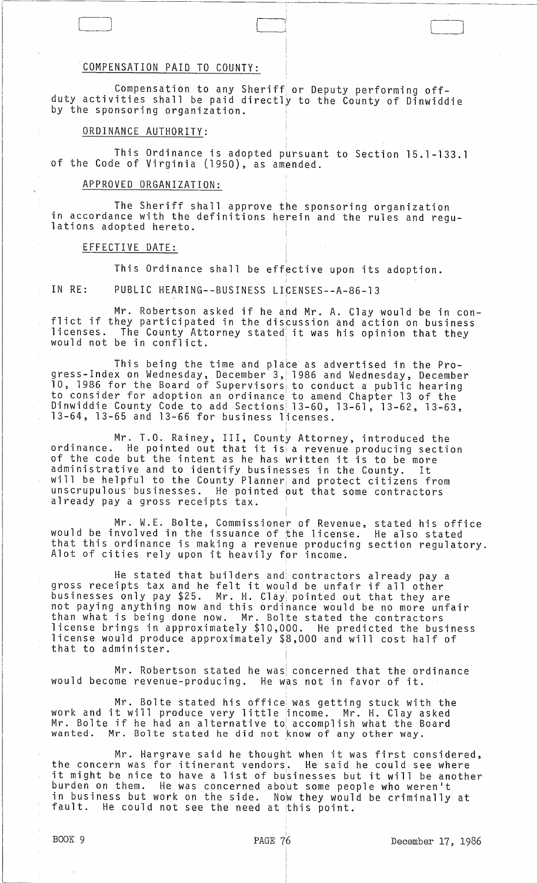## COMPENSATION PAID TO COUNTY:

Compensation to any Sheriff or Deputy performing offduty activities shall be paid directly to the County of Dinwiddie by the sponsoring organization.

 $\Box$ 

# ORDINANCE AUTHORITY:

This Ordinance is adopted pursuant to Section 15.1-133.1 of the Code of Virginia (1950), as amended.

## APPROVED ORGANIZATION:

The Sheriff shall approve the sponsoring organization<br>in accordance with the definitions herein and the rules and regu-<br>lations adopted hereto.

#### EFFECTIVE DATE:

This Ordinance shall be eff<mark>ective upon its adoption.</mark>

IN RE: PUBLIC HEARING--BUSINESS LICENSES--A-86-13

Mr. Robertson asked if he and Mr. A. Clay would be in conflict if they participated in the discussion and action on business licenses. The County Attorney stated' it was his opinion that they would not be in conflict.

This being the time and place as advertised in the Progress-Index on Wednesday, December 3, 1986 and Wednesday, December 10, 1986 for the Board of Supervisors to conduct a public hearing to consider for adoption an ordinance' to amend Chapter 13 of the Dinwiddie County Code to add Sections! 13-60, 13-61, 13-62, 13-63,  $13-64$ ,  $13-65$  and  $13-66$  for business licenses.

Mr. T.O. Rainey, III, County Attorney, introduced the ordinance. He pointed out that it is a revenue producing section of the code but the intent as he has written it is to be more administrative and to identify businesses in the County. It will be helpful to the County Planner and protect citizens from<br>unscrupulous businesses. He pointed out that some contractors He pointed out that some contractors already pay a gross receipts tax.

Mr. W.E. Bolte, Commissioner of Revenue, would be involved in the issuance of the license. that this ordinance is making a revenue producing section regulatory. Alot of cities rely upon it heavily for income. stated his office He also stated

He stated that builders and contractors already pay a gross receipts tax and he felt it would be unfair if all other businesses only pay \$25. Mr. H. Clay pointed out that they are not paying anything now and this ordinance would be no more unfair than what is being done now. Mr. Bolte stated the contractors license brings in approximately \$10,000. He predicted the business license would produce approximately \$8,000 and will cost half of that to administer.

Mr. Robertson stated he was concerned that the ordinance would become revenue-producing. He was not in favor of it.

Mr. Bolte stated his office was getting stuck with the work and it will produce very little income. Mr. H. Clay asked Mr. Bolte if he had an alternative to accomplish what the Board wanted. Mr. Bolte stated he did not know of any other way.

Mr. Hargrave said he thought when it was first considered, the concern was for itinerant vendors.. He said he could see where it might be nice to have a list of bu'sinesses but it will be another burden on them. He was concerned about some people who weren't in business but work on the side. Now they would be criminally at<br>fault. He could not see the need at this point. He could not see the need at this point.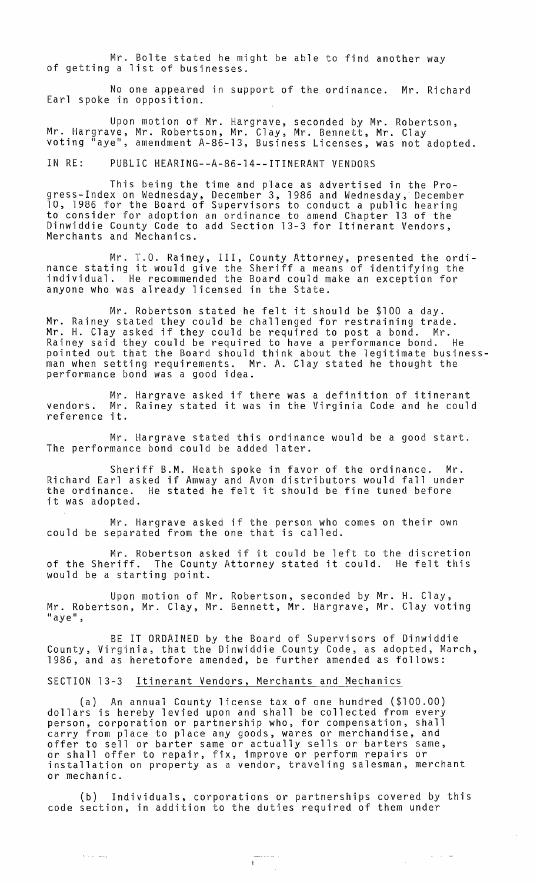Mr. Bolte stated he might be able to find another way of getting a list of businesses.

No one appeared in support of the ordinance. Mr. Richard Earl spoke in opposition.

Upon motion of Mr. Hargrave, seconded by Mr. Robertson, Mr. Hargrave, Mr. Robertson, Mr. Clay, Mr. Bennett, Mr. Clay voting "aye", amendment A-86-13, Business Licenses, was not adopted.

IN RE: PUBLIC HEARING--A-86-14--ITINERANT VENDORS

This being the time and place as advertised in the Progress-Index on Wednesday, December 3, 1986 and Wednesday, December 10, 1986 for the Board of Supervisors to conduct a public hearing to consider for adoption an ordinance to amend Chapter 13 of the Dinwiddie County Code to add Section 13-3 for Itinerant Vendors, Merchants and Mechanics.

Mr. T.O. Rainey, III, County Attorney, presented the ordinance stating it would give the Sheriff a means of identifying the individual. He recommended the Board could make an exception for anyone who was already licensed in the State.

Mr. Robertson stated he felt it should be \$100 a day. Mr. Rainey stated they could be challenged for restraining trade. Mr. H. Clay asked if they could be required to post a bond. Mr. Rainey said they could be required to have a performance bond. He pointed out that the Board should think about the legitimate businessman when setting requirements. Mr. A. Clay stated he thought the performance bond was a good idea.

Mr. Hargrave asked if there was a definition of itinerant vendors. Mr. Rainey stated it was in the Virginia Code and he could vendors. Mr.<br>reference it.

Mr. Hargrave stated this ordinance would be a good start. The performance bond could be added later.

Sheriff B.M. Heath spoke in favor of the ordinance. Mr. Richard Earl asked if Amway and Avon distributors would fall under He stated he felt it should be fine tuned before it was adopted.

Mr. Hargrave asked if the person who comes on their own could be separated from the one that is called.

Mr. Robertson asked if it could be left to the discretion of the Sheriff. The County Attorney stated it could. He felt this would be a starting point.

Upon motion of Mr. Robertson, seconded by Mr. H. Clay, Mr. Robertson, Mr. Clay, Mr. Bennett, Mr. Hargrave, Mr. Clay voting "aye",

BE IT ORDAINED by the Board of Supervisors of Dinwiddie County, Virginia, that the Dinwiddie County Code, as adopted, March, 1986, and as heretofore amended, be further amended as follows:

## SECTION 13-3 Itinerant Vendors, Merchants and Mechanics

and a series

(a) An annual County license tax of one hundred (\$100.00) dollars is hereby levied upon and shall be collected from every person, corporation or partnership who, for compensation, shall carry from place to place any goods, wares or merchandise, and offer to sell or barter same or actually sells or barters same, or shall offer to repair, fix, improve or perform repairs or installation on property as a vendor, traveling salesman, merchant or mechanic.

(b) Individuals, corporations or partnerships covered by this code section, in addition to the duties required of them under

 $\cdots$   $\cdots$ 

 $\bar{z}$ 

 $\sigma_{\rm c}$  ,  $\sigma_{\rm c}$  ,  $\sigma$ 

 $\Delta \sim 1$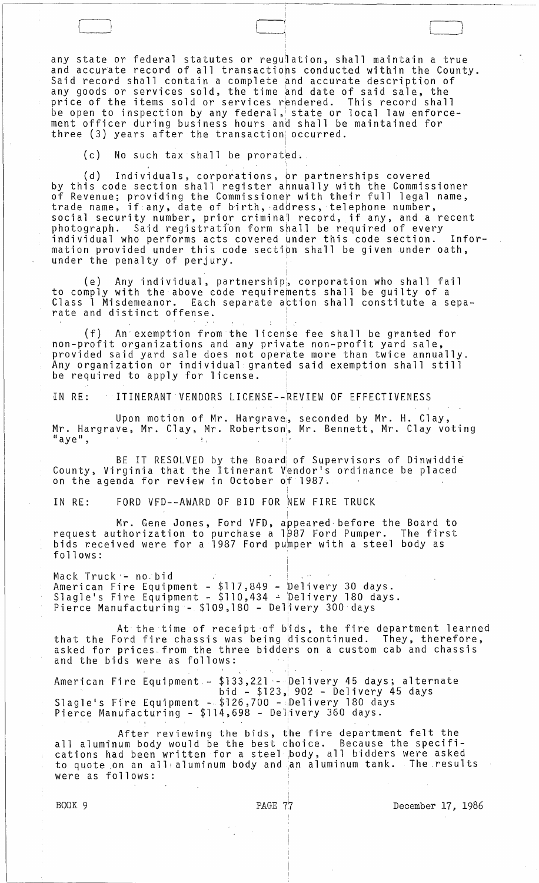any state or federal statutes or regulation, shall maintain a true and accurate record of all transactions conducted within the County. Said record shall contain a complete and accurate description of any goods or services sold, the time and date of said sale, the price of the items sold or services rendered. This record shall be open to inspection by any federal, state or local law enforcement officer during business hours and shall be maintained for three (3) years after the transaction' occurred.

(c) No such tax shall be prorated.

(d) Individuals, corporations, br partnerships covered by this code section shall register annually with the Commissioner of Revenue; providing the Commissioner with their full legal name, trade name, if any, date of birth, address, telephone number, social security number, prior criminal record, if any, and a recent photograph. Said registration form shall be required of every individual who performs acts covered under this code section. Information provided under this code sectipn shall be given under oath, under the penalty of perjury.

(e) Any individual, partnershipi, corporation who shall fail to comply with the above code requirements shall be guilty of a<br>Class 1 Misdemeanor. Each separate action shall constitute a s Each separate action shall constitute a separate and distinct offense.

 $(f)$  An exemption from the license fee shall be granted for non-profit organizations and any private non-profit yard sale, provided said yard sale does not operate more than twice annually. Any organization or individual granted said exemption shall still be required to apply for license.

IN RE: . ITINERANT VENDORS LICENSE--~EVIEW OF EFFECTIVENESS

Upon motion of Mr. Hargrave;, seconded by Mr. **H.** Clay, Mr. Hargrave, Mr. Clay, Mr. Robertson<sup>"</sup>, Mr. Bennett, Mr. Clay voting<br>"aye",

BE IT RESOLVED by the Board of Supervisors of Dinwiddie County, Virginia that the Itinerant Vendor's ordinance be placed on the agenda for review in October of 1987.

IN RE: FORD VFD--AWARD OF BID FOR NEW FIRE TRUCK

Mr. Gene Jones, Ford VFD, appeared before the Board to request authorization to purchase a 1987 Ford Pumper. The first bids received were for a 1987 Ford pumper with a steel body as follows:

Mack Truck '- no.bid American Fire Equipment - \$117,849 - Delivery 30 days.<br>Slagle's Fire Equipment - \$110,434 - Delivery 180 days. Pierce Manufacturing - \$109,180 - Delivery 300 days

At the time of receipt of bids, the fire department learned that the Ford fire chassis was being discontinued. They, therefore, asked for prices from the three bidders on a custom cab and chassis and the bids were as follows:

"

American Fire Equipment - \$133,221 - Delivery 45 days; alternate bid - \$123, 902 - Delivery 45 days Slagle's Fire Equipment - \$126,700 - Delivery 180 days Pierce Manufacturing - \$114,698 - Delivery 360 days.

After reviewing the bids, the fire department felt the<br>all aluminum body would be the best choice. Because the specifiall aluminum body would be the best choice. Because the specifi- cations had been written for a steel body, all bidders were asked to quote on an all <sup>t</sup>aluminum body and ,an aluminum tank. The .results were as follows:

BOOK 9 **PAGE 77** December 17, 1986

 $\Box$  $\Box$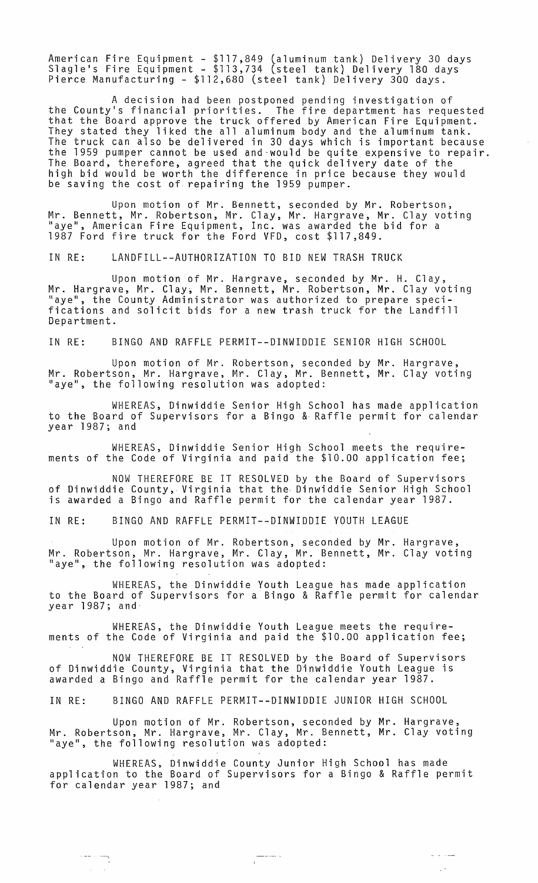American Fire Equipment - \$117,849 (aluminum tank) Delivery 30 days<br>Slagle's Fire Equipment - \$113,734 (steel tank) Delivery 180 days<br>Pierce Manufacturing - \$112,680 (steel tank) Delivery 300 days.

A decision had been postponed pending investigation of the County's financial priorities. The fire department has requested that the Board approve the truck offered by American Fire Equipment. They stated they liked the all aluminum body and the aluminum tank. The truck can also be delivered in 30 days which is important because the 1959 pumper cannot be used and-would be quite expensive to repair. The Board, therefore, agreed that the quick delivery date of the high bid would be worth the difference in price because they would be saving the cost of repairing the 1959 pumper.

Upon motion of Mr. Bennett, seconded by Mr. Robertson, Mr. Bennett, Mr. Robertson, Mr. Clay, Mr. Hargrave, Mr. Clay voting "aye", American Fire Equipment, Inc. was awarded the bid for a 1987 Ford fire truck for the Ford VFD, cost \$117,849.

IN RE: LANDFILL--AUTHORIZATION TO BID NEW TRASH TRUCK

Upon motion of Mr. Hargrave, seconded by Mr. H. Clay, Mr. Hargrave, Mr. Clay, Mr. Bennett, Mr. Robertson, Mr. Clay voting "aye", the County Administrator was authorized to prepare specifications and solicit bids for a new trash truck for the Landfill Department.

IN RE: BINGO AND RAFFLE PERMIT--DINWIDDIE SENIOR HIGH SCHOOL

Upon motion of Mr. Robertson, seconded by Mr. Hargrave, Mr. Robertson, Mr. Hargrave, Mr. Clay, Mr. Bennett, Mr. Clay voting "aye", the following resolution was adopted:

WHEREAS, Dinwiddie Senior High School has made application to the Board of Supervisors for a Bingo &. Raffle permit for calendar year 1987; and

WHEREAS, Dinwiddie Senior High School meets the requirements of the Code of Virginia and paid the \$10.00 application fee;

NOW THEREFORE BE IT RESOLVED by the Board of Supervisors of Dinwiddie County, Virginia that the· Dinwiddie Senior High School is awarded a Bingo and Raffle permit for the calendar year 1987.

IN RE: BINGO AND RAFFLE PERMIT--DINWIDDIE YOUTH LEAGUE

Upon motion of Mr. Robertson, seconded by Mr. Hargrave, Mr. Robertson, Mr. Hargrave, Mr. Clay, Mr. Bennett, Mr. Clay voting "aye", the following resolution was adopted:

WHEREAS, the Dinwiddie Youth League has made application to the Board of Supervisors for a Bingo & Raffle permit for calendar year 1987; and·

WHEREAS, the Dinwiddie Youth League meets the requirements of the Code of Virginia and paid the \$10.00 application fee;

NOW THEREFORE BE IT RESOLVED by the Board of Supervisors of Dinwiddie County, Virginia that the Dinwiddie Youth League is awarded a Bingo and Raffle permit for the calendar year 1987.

IN RE: BINGO AND RAFFLE PERMIT--DINWIDDIE JUNIOR HIGH SCHOOL

Upon motion of Mr. Robertson, seconded by Mr. Hargrave, Mr. Robertson, Mr. Hargrave, Mr. Clay, Mr. Bennett, Mr. Clay voting "aye", the following resolution was adopted:

WHEREAS, Dinwiddie County Junior High School has made application to the Board of Supervisors for a Bingo & Raffle permit for calendar year 1987; and

 $\mathcal{A}^{\mathcal{A}}$ 

بمسترد الدرانير

 $\mathcal{L}^{1,2}$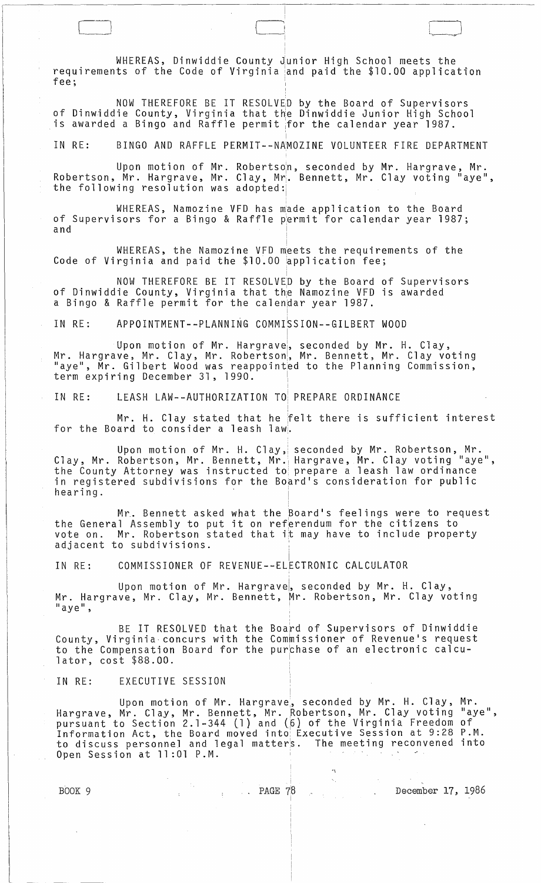WHEREAS, Dinwiddie County Junior High School meets the requirements of the Code of Virginia and paid the \$10.00 application<br>fee: fee; where  $\sim$ ,

NOW THEREFORE BE IT RESOLVED by the Board of Supervisors of Dinwiddie County, Virginia that the Dinwiddie Junior High School is awarded a Bingo and Raffle permit for the calendar year  $\overline{1987}$ .

IN RE: BINGO AND RAFFLE PERMIT--NAMOZINE VOLUNTEER FIRE DEPARTMENT

Upon motion of Mr. Robertso<mark>n, seconded by Mr. Hargrave, Mr.</mark> Robertson, Mr. Hargrave, Mr. Clay, Mr. Bennett, Mr. Clay voting "aye", the following resolution was adopted:

WHEREAS, Namozine VFD has made application to the Board of Supervisors for a Bingo & Raffle permit for calendar year 1987;<br>and and  $\begin{bmatrix} 1 & 1 & 1 \\ 1 & 1 & 1 \end{bmatrix}$ I

WHEREAS, the Namozine VFD meets the requirements of the Code of Virginia and paid the  $$10.00 ~approx$  application fee;

NOW THEREFORE BE IT RESOLVED by the Board of Supervisors of Dinwiddie County, Virginia that the Namozine VFD is awarded a Bingo & Raffle permit for the calendar year 1987.

!

i. IN RE: APPOINTMENT--PLANNING COMMISSION--GILBERT WOOD

Upon motion of Mr. Hargrave<mark>, seconded by Mr. H. Clay,</mark> Mr. Hargrave, Mr. Clay, Mr. Robertson, Mr. Bennett, Mr. Clay voting<br>"aye", Mr. Gilbert Wood was reappointed to the Planning Commission,<br>term expiring December 31, 1990.

IN RE: LEASH LAW--AUTHORIZATION TO: PREPARE ORDINANCE

Mr. H. Clay stated that he felt there is sufficient interest for the Board to consider a leash law.

Upon motion of Mr. H. Clay, seconded by Mr. Robertson, Mr. Clay, Mr. Robertson, Mr. Bennett, Mr. Hargrave, Mr. Clay voting "aye", the County Attorney was instructed to prepare a leash law ordinance in registered subdivisions for the Board's consideration for public  $\mathsf{hearing.}$ 

i.

I

Mr. Bennett asked what the <mark>Board's feelings were to request</mark> the General Assembly to put it on referendum for the citizens to vote on. Mr. Robertson stated that it may have to include property adjacent to subdivisions.

IN RE: COMMISSIONER OF REVENUE--ELECTRONIC CALCULATOR

Upon motion of Mr. Hargravel, seconded by Mr. H. Clay, Mr. Hargrave, Mr. Clay, Mr. Bennett, Mr. Robertson, Mr. Clay voting  $\blacksquare$  aye",

BE IT RESOLVED that County, Virginia- concurs with to the Compensation Board for lator, cost \$88.00. the Boa~d of Supervisors of Dinwiddie the Commissioner of Revenue's request the pur<mark>chase of an electronic calcu</mark>-I

IN RE: EXECUTIVE SESSION

Upon motion of Mr. Hargrave, seconded by Mr. H. Clay, Mr. Hargrave, Mr. Clay, Mr. Bennett, Mr. Robertson, Mr. Clay voting "aye", pursuant to Section 2.1-344 (1) and (6) of the Virginia Freedom of Information Act, the Board moved into Executive Session at 9:28 P.M. to discuss personnel and legal matters. The meeting reconvened into Open Session at 11:01 P.M.

 $\alpha$  $\zeta_{\rm{in}}$ 

BOOK 9 December 17, 1986

CJ